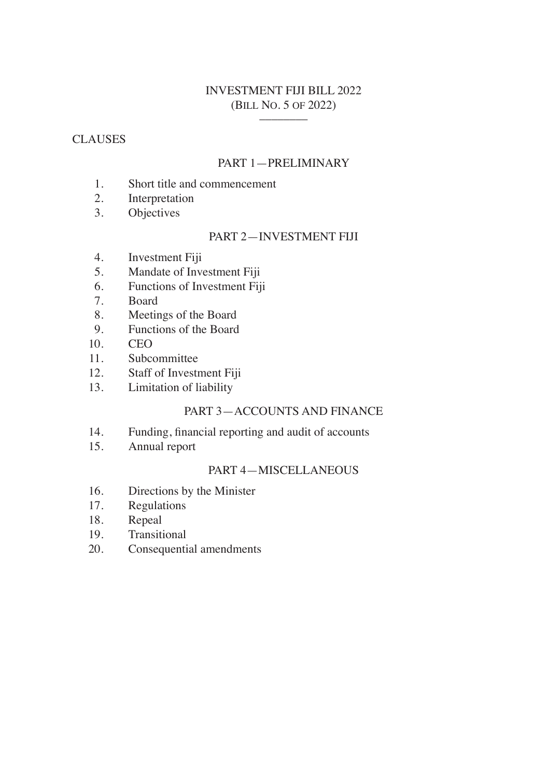# INVESTMENT FIJI BILL 2022 (BILL NO. 5 OF 2022) \_\_\_\_\_\_\_\_

# **CLAUSES**

# PART 1—PRELIMINARY

- 1. Short title and commencement
- 2. Interpretation
- 3. Objectives

# PART 2—INVESTMENT FIJI

- 4. Investment Fiji
- 5. Mandate of Investment Fiji
- 6. Functions of Investment Fiji
- 7. Board
- 8. Meetings of the Board<br>9. Functions of the Board
- Functions of the Board
- 10. CEO
- 11. Subcommittee
- 12. Staff of Investment Fiji
- 13. Limitation of liability

# PART 3—ACCOUNTS AND FINANCE

- 14. Funding, financial reporting and audit of accounts
- 15. Annual report

# PART 4—MISCELLANEOUS

- 16. Directions by the Minister
- 17. Regulations
- 18. Repeal
- 19. Transitional
- 20. Consequential amendments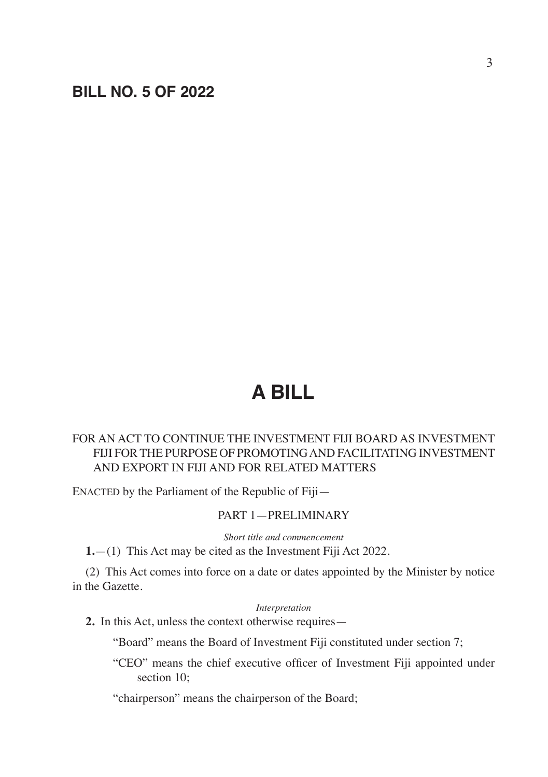# **BILL NO. 5 OF 2022**

# **A BILL**

# FOR AN ACT TO CONTINUE THE INVESTMENT FIJI BOARD AS INVESTMENT FIJI FOR THE PURPOSE OF PROMOTING AND FACILITATING INVESTMENT AND EXPORT IN FIJI AND FOR RELATED MATTERS

ENACTED by the Parliament of the Republic of Fiji—

# PART 1—PRELIMINARY

*Short title and commencement*

**1.**—(1) This Act may be cited as the Investment Fiji Act 2022.

(2) This Act comes into force on a date or dates appointed by the Minister by notice in the Gazette.

#### *Interpretation*

**2.** In this Act, unless the context otherwise requires—

"Board" means the Board of Investment Fiji constituted under section 7;

"CEO" means the chief executive officer of Investment Fiji appointed under section 10;

"chairperson" means the chairperson of the Board;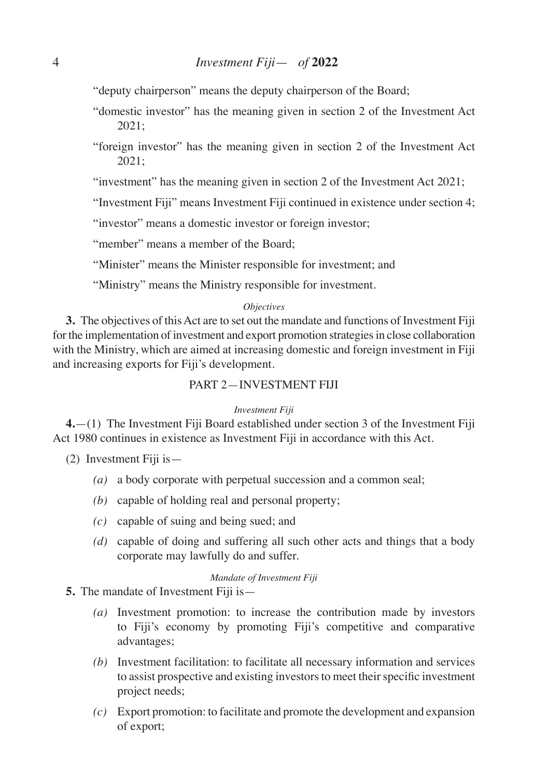"deputy chairperson" means the deputy chairperson of the Board;

- "domestic investor" has the meaning given in section 2 of the Investment Act 2021;
- "foreign investor" has the meaning given in section 2 of the Investment Act 2021;

"investment" has the meaning given in section 2 of the Investment Act 2021;

"Investment Fiji" means Investment Fiji continued in existence under section 4;

"investor" means a domestic investor or foreign investor;

"member" means a member of the Board:

"Minister" means the Minister responsible for investment; and

"Ministry" means the Ministry responsible for investment.

#### *Objectives*

**3.** The objectives of this Act are to set out the mandate and functions of Investment Fiji for the implementation of investment and export promotion strategies in close collaboration with the Ministry, which are aimed at increasing domestic and foreign investment in Fiji and increasing exports for Fiji's development.

## PART 2—INVESTMENT FIJI

#### *Investment Fiji*

**4.**—(1) The Investment Fiji Board established under section 3 of the Investment Fiji Act 1980 continues in existence as Investment Fiji in accordance with this Act.

(2) Investment Fiji is—

- *(a)* a body corporate with perpetual succession and a common seal;
- *(b)* capable of holding real and personal property;
- *(c)* capable of suing and being sued; and
- *(d)* capable of doing and suffering all such other acts and things that a body corporate may lawfully do and suffer.

#### *Mandate of Investment Fiji*

- **5.** The mandate of Investment Fiji is—
	- *(a)* Investment promotion: to increase the contribution made by investors to Fiji's economy by promoting Fiji's competitive and comparative advantages;
	- *(b)* Investment facilitation: to facilitate all necessary information and services to assist prospective and existing investors to meet their specific investment project needs;
	- *(c)* Export promotion: to facilitate and promote the development and expansion of export;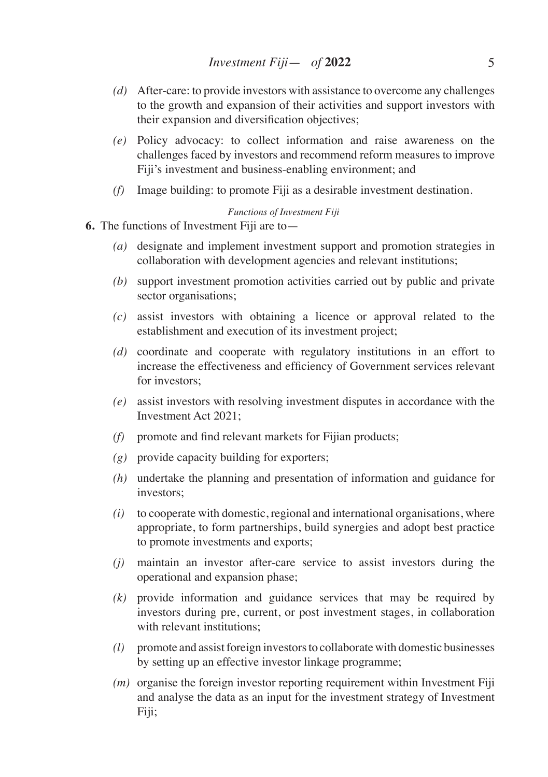- *(d)* After-care: to provide investors with assistance to overcome any challenges to the growth and expansion of their activities and support investors with their expansion and diversification objectives;
- *(e)* Policy advocacy: to collect information and raise awareness on the challenges faced by investors and recommend reform measures to improve Fiji's investment and business-enabling environment; and
- *(f)* Image building: to promote Fiji as a desirable investment destination.

### *Functions of Investment Fiji*

- **6.** The functions of Investment Fiji are to—
	- *(a)* designate and implement investment support and promotion strategies in collaboration with development agencies and relevant institutions;
	- *(b)* support investment promotion activities carried out by public and private sector organisations;
	- *(c)* assist investors with obtaining a licence or approval related to the establishment and execution of its investment project;
	- *(d)* coordinate and cooperate with regulatory institutions in an effort to increase the effectiveness and efficiency of Government services relevant for investors;
	- *(e)* assist investors with resolving investment disputes in accordance with the Investment Act 2021;
	- *(f)* promote and find relevant markets for Fijian products;
	- *(g)* provide capacity building for exporters;
	- *(h)* undertake the planning and presentation of information and guidance for investors;
	- *(i)* to cooperate with domestic, regional and international organisations, where appropriate, to form partnerships, build synergies and adopt best practice to promote investments and exports;
	- *(j)* maintain an investor after-care service to assist investors during the operational and expansion phase;
	- *(k)* provide information and guidance services that may be required by investors during pre, current, or post investment stages, in collaboration with relevant institutions;
	- *(l)* promote and assist foreign investors to collaborate with domestic businesses by setting up an effective investor linkage programme;
	- *(m)* organise the foreign investor reporting requirement within Investment Fiji and analyse the data as an input for the investment strategy of Investment Fiji;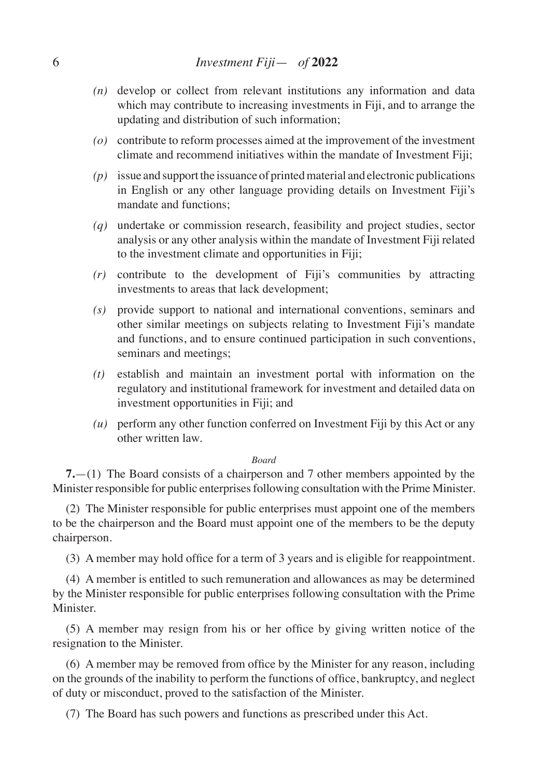- *(n)* develop or collect from relevant institutions any information and data which may contribute to increasing investments in Fiji, and to arrange the updating and distribution of such information;
- *(o)* contribute to reform processes aimed at the improvement of the investment climate and recommend initiatives within the mandate of Investment Fiji;
- *(p)* issue and support the issuance of printed material and electronic publications in English or any other language providing details on Investment Fiji's mandate and functions;
- *(q)* undertake or commission research, feasibility and project studies, sector analysis or any other analysis within the mandate of Investment Fiji related to the investment climate and opportunities in Fiji;
- *(r)* contribute to the development of Fiji's communities by attracting investments to areas that lack development;
- *(s)* provide support to national and international conventions, seminars and other similar meetings on subjects relating to Investment Fiji's mandate and functions, and to ensure continued participation in such conventions, seminars and meetings;
- *(t)* establish and maintain an investment portal with information on the regulatory and institutional framework for investment and detailed data on investment opportunities in Fiji; and
- *(u)* perform any other function conferred on Investment Fiji by this Act or any other written law.

## *Board*

**7.**—(1) The Board consists of a chairperson and 7 other members appointed by the Minister responsible for public enterprises following consultation with the Prime Minister.

(2) The Minister responsible for public enterprises must appoint one of the members to be the chairperson and the Board must appoint one of the members to be the deputy chairperson.

(3) A member may hold office for a term of 3 years and is eligible for reappointment.

(4) A member is entitled to such remuneration and allowances as may be determined by the Minister responsible for public enterprises following consultation with the Prime Minister.

(5) A member may resign from his or her office by giving written notice of the resignation to the Minister.

(6) A member may be removed from office by the Minister for any reason, including on the grounds of the inability to perform the functions of office, bankruptcy, and neglect of duty or misconduct, proved to the satisfaction of the Minister.

(7) The Board has such powers and functions as prescribed under this Act.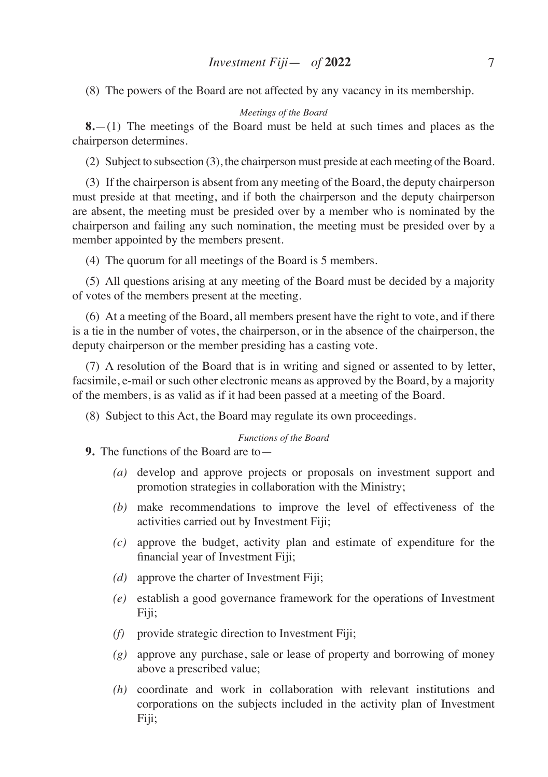(8) The powers of the Board are not affected by any vacancy in its membership.

#### *Meetings of the Board*

**8.**—(1) The meetings of the Board must be held at such times and places as the chairperson determines.

(2) Subject to subsection (3), the chairperson must preside at each meeting of the Board.

(3) If the chairperson is absent from any meeting of the Board, the deputy chairperson must preside at that meeting, and if both the chairperson and the deputy chairperson are absent, the meeting must be presided over by a member who is nominated by the chairperson and failing any such nomination, the meeting must be presided over by a member appointed by the members present.

(4) The quorum for all meetings of the Board is 5 members.

(5) All questions arising at any meeting of the Board must be decided by a majority of votes of the members present at the meeting.

(6) At a meeting of the Board, all members present have the right to vote, and if there is a tie in the number of votes, the chairperson, or in the absence of the chairperson, the deputy chairperson or the member presiding has a casting vote.

(7) A resolution of the Board that is in writing and signed or assented to by letter, facsimile, e-mail or such other electronic means as approved by the Board, by a majority of the members, is as valid as if it had been passed at a meeting of the Board.

(8) Subject to this Act, the Board may regulate its own proceedings.

#### *Functions of the Board*

**9.** The functions of the Board are to—

- *(a)* develop and approve projects or proposals on investment support and promotion strategies in collaboration with the Ministry;
- *(b)* make recommendations to improve the level of effectiveness of the activities carried out by Investment Fiji;
- *(c)* approve the budget, activity plan and estimate of expenditure for the financial year of Investment Fiji;
- *(d)* approve the charter of Investment Fiji;
- *(e)* establish a good governance framework for the operations of Investment Fiji;
- *(f)* provide strategic direction to Investment Fiji;
- *(g)* approve any purchase, sale or lease of property and borrowing of money above a prescribed value;
- *(h)* coordinate and work in collaboration with relevant institutions and corporations on the subjects included in the activity plan of Investment Fiji;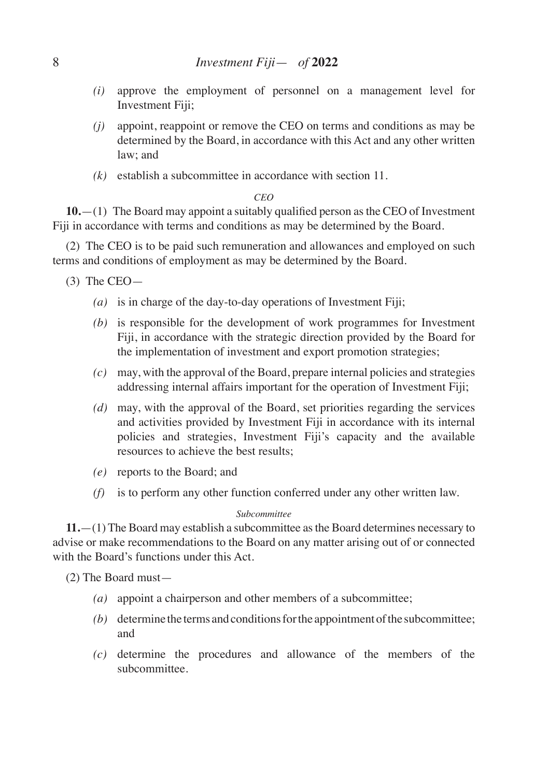- *(i)* approve the employment of personnel on a management level for Investment Fiji;
- *(j)* appoint, reappoint or remove the CEO on terms and conditions as may be determined by the Board, in accordance with this Act and any other written law; and
- *(k)* establish a subcommittee in accordance with section 11.

#### *CEO*

**10.**—(1) The Board may appoint a suitably qualified person asthe CEO of Investment Fiji in accordance with terms and conditions as may be determined by the Board.

(2) The CEO is to be paid such remuneration and allowances and employed on such terms and conditions of employment as may be determined by the Board.

- $(3)$  The CEO $-$ 
	- *(a)* is in charge of the day-to-day operations of Investment Fiji;
	- *(b)* is responsible for the development of work programmes for Investment Fiji, in accordance with the strategic direction provided by the Board for the implementation of investment and export promotion strategies;
	- *(c)* may, with the approval of the Board, prepare internal policies and strategies addressing internal affairs important for the operation of Investment Fiji;
	- *(d)* may, with the approval of the Board, set priorities regarding the services and activities provided by Investment Fiji in accordance with its internal policies and strategies, Investment Fiji's capacity and the available resources to achieve the best results;
	- *(e)* reports to the Board; and
	- *(f)* is to perform any other function conferred under any other written law.

#### *Subcommittee*

**11.**—(1) The Board may establish a subcommittee as the Board determines necessary to advise or make recommendations to the Board on any matter arising out of or connected with the Board's functions under this Act.

(2) The Board must—

- *(a)* appoint a chairperson and other members of a subcommittee;
- *(b)* determine the terms and conditions for the appointment of the subcommittee; and
- *(c)* determine the procedures and allowance of the members of the subcommittee.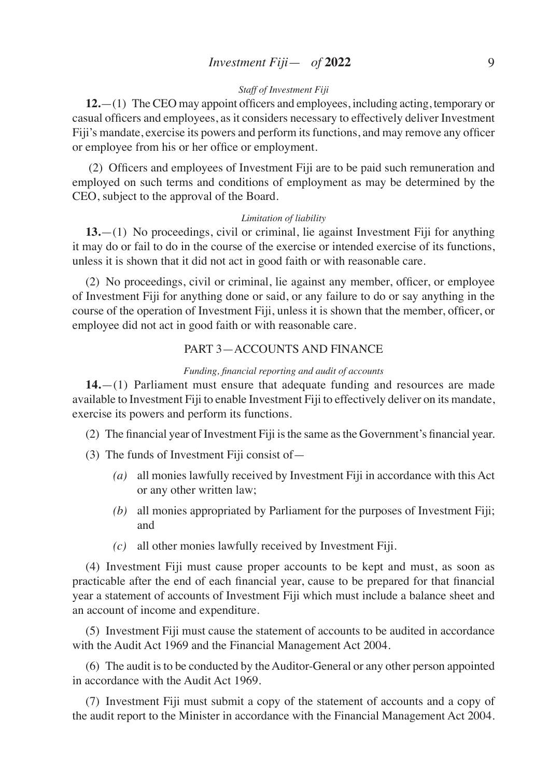## *Staff of Investment Fiji*

**12.**—(1) The CEO may appoint officers and employees, including acting, temporary or casual officers and employees, as it considers necessary to effectively deliver Investment Fiji's mandate, exercise its powers and perform itsfunctions, and may remove any officer or employee from his or her office or employment.

(2) Officers and employees of Investment Fiji are to be paid such remuneration and employed on such terms and conditions of employment as may be determined by the CEO, subject to the approval of the Board.

#### *Limitation of liability*

**13.**—(1) No proceedings, civil or criminal, lie against Investment Fiji for anything it may do or fail to do in the course of the exercise or intended exercise of its functions, unless it is shown that it did not act in good faith or with reasonable care.

(2) No proceedings, civil or criminal, lie against any member, officer, or employee of Investment Fiji for anything done or said, or any failure to do or say anything in the course of the operation of Investment Fiji, unless it is shown that the member, officer, or employee did not act in good faith or with reasonable care.

## PART 3—ACCOUNTS AND FINANCE

#### *Funding, financial reporting and audit of accounts*

**14.**—(1) Parliament must ensure that adequate funding and resources are made available to Investment Fiji to enable Investment Fiji to effectively deliver on its mandate, exercise its powers and perform its functions.

- (2) The financial year of Investment Fiji isthe same asthe Government's financial year.
- (3) The funds of Investment Fiji consist of—
	- *(a)* all monies lawfully received by Investment Fiji in accordance with this Act or any other written law;
	- *(b)* all monies appropriated by Parliament for the purposes of Investment Fiji; and
	- *(c)* all other monies lawfully received by Investment Fiji.

(4) Investment Fiji must cause proper accounts to be kept and must, as soon as practicable after the end of each financial year, cause to be prepared for that financial year a statement of accounts of Investment Fiji which must include a balance sheet and an account of income and expenditure.

(5) Investment Fiji must cause the statement of accounts to be audited in accordance with the Audit Act 1969 and the Financial Management Act 2004.

(6) The audit is to be conducted by the Auditor-General or any other person appointed in accordance with the Audit Act 1969.

(7) Investment Fiji must submit a copy of the statement of accounts and a copy of the audit report to the Minister in accordance with the Financial Management Act 2004.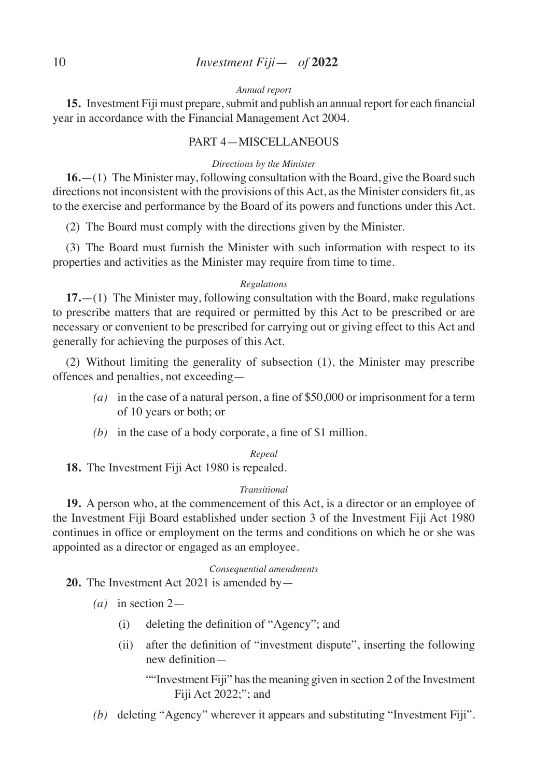## 10 *Investment Fiji*— *of* **2022**

## *Annual report*

**15.** Investment Fiji must prepare, submit and publish an annual report for each financial year in accordance with the Financial Management Act 2004.

### PART 4—MISCELLANEOUS

#### *Directions by the Minister*

**16.**—(1) The Minister may, following consultation with the Board, give the Board such directions not inconsistent with the provisions of this Act, as the Minister considers fit, as to the exercise and performance by the Board of its powers and functions under this Act.

(2) The Board must comply with the directions given by the Minister.

(3) The Board must furnish the Minister with such information with respect to its properties and activities as the Minister may require from time to time.

#### *Regulations*

**17.**—(1) The Minister may, following consultation with the Board, make regulations to prescribe matters that are required or permitted by this Act to be prescribed or are necessary or convenient to be prescribed for carrying out or giving effect to this Act and generally for achieving the purposes of this Act.

(2) Without limiting the generality of subsection (1), the Minister may prescribe offences and penalties, not exceeding—

- *(a)* in the case of a natural person, a fine of \$50,000 or imprisonment for a term of 10 years or both; or
- *(b)* in the case of a body corporate, a fine of \$1 million.

## *Repeal*

**18.** The Investment Fiji Act 1980 is repealed.

#### *Transitional*

**19.** A person who, at the commencement of this Act, is a director or an employee of the Investment Fiji Board established under section 3 of the Investment Fiji Act 1980 continues in office or employment on the terms and conditions on which he or she was appointed as a director or engaged as an employee.

#### *Consequential amendments*

**20.** The Investment Act 2021 is amended by—

- *(a)* in section 2—
	- (i) deleting the definition of "Agency"; and
	- (ii) after the definition of "investment dispute", inserting the following new definition—

""Investment Fiji" has the meaning given in section 2 of the Investment Fiji Act 2022;"; and

*(b)* deleting "Agency" wherever it appears and substituting "Investment Fiji".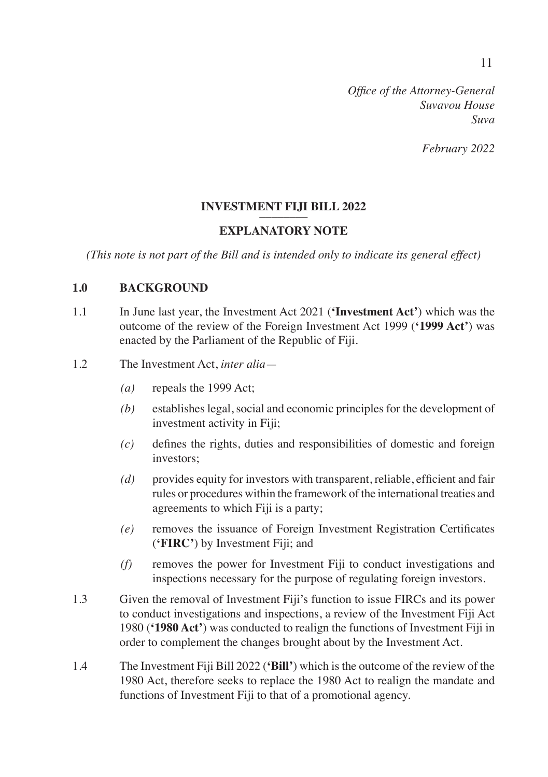*February 2022*

# **INVESTMENT FIJI BILL 2022**

# **EXPLANATORY NOTE**

*(This note is not part of the Bill and is intended only to indicate its general effect)*

# **1.0 BACKGROUND**

1.1 In June last year, the Investment Act 2021 (**'Investment Act'**) which was the outcome of the review of the Foreign Investment Act 1999 (**'1999 Act'**) was enacted by the Parliament of the Republic of Fiji.

# 1.2 The Investment Act, *inter alia*—

- *(a)* repeals the 1999 Act;
- *(b)* establishes legal, social and economic principles for the development of investment activity in Fiji;
- *(c)* defines the rights, duties and responsibilities of domestic and foreign investors;
- *(d)* provides equity for investors with transparent, reliable, efficient and fair rules or procedures within the framework of the international treaties and agreements to which Fiji is a party;
- *(e)* removes the issuance of Foreign Investment Registration Certificates (**'FIRC'**) by Investment Fiji; and
- *(f)* removes the power for Investment Fiji to conduct investigations and inspections necessary for the purpose of regulating foreign investors.
- 1.3 Given the removal of Investment Fiji's function to issue FIRCs and its power to conduct investigations and inspections, a review of the Investment Fiji Act 1980 (**'1980 Act'**) was conducted to realign the functions of Investment Fiji in order to complement the changes brought about by the Investment Act.
- 1.4 The Investment Fiji Bill 2022 (**'Bill'**) which is the outcome of the review of the 1980 Act, therefore seeks to replace the 1980 Act to realign the mandate and functions of Investment Fiji to that of a promotional agency.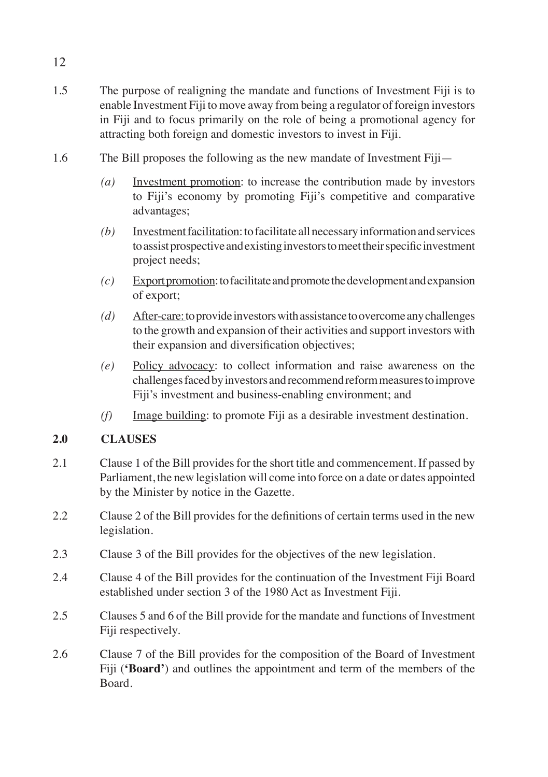- 1.5 The purpose of realigning the mandate and functions of Investment Fiji is to enable Investment Fiji to move away from being a regulator of foreign investors in Fiji and to focus primarily on the role of being a promotional agency for attracting both foreign and domestic investors to invest in Fiji.
- 1.6 The Bill proposes the following as the new mandate of Investment Fiji—
	- *(a)* Investment promotion: to increase the contribution made by investors to Fiji's economy by promoting Fiji's competitive and comparative advantages;
	- *(b)* Investment facilitation: to facilitate all necessary information and services to assist prospective and existing investors to meet their specific investment project needs;
	- *(c)* Export promotion: to facilitate and promote the development and expansion of export;
	- *(d)* After-care: to provide investors with assistance to overcome any challenges to the growth and expansion of their activities and support investors with their expansion and diversification objectives;
	- *(e)* Policy advocacy: to collect information and raise awareness on the challenges faced by investors and recommend reform measures to improve Fiji's investment and business-enabling environment; and
	- *(f)* Image building: to promote Fiji as a desirable investment destination.

# **2.0 CLAUSES**

- 2.1 Clause 1 of the Bill provides for the short title and commencement. If passed by Parliament, the new legislation will come into force on a date or dates appointed by the Minister by notice in the Gazette.
- 2.2 Clause 2 of the Bill provides for the definitions of certain terms used in the new legislation.
- 2.3 Clause 3 of the Bill provides for the objectives of the new legislation.
- 2.4 Clause 4 of the Bill provides for the continuation of the Investment Fiji Board established under section 3 of the 1980 Act as Investment Fiji.
- 2.5 Clauses 5 and 6 of the Bill provide for the mandate and functions of Investment Fiji respectively.
- 2.6 Clause 7 of the Bill provides for the composition of the Board of Investment Fiji (**'Board'**) and outlines the appointment and term of the members of the Board.

12